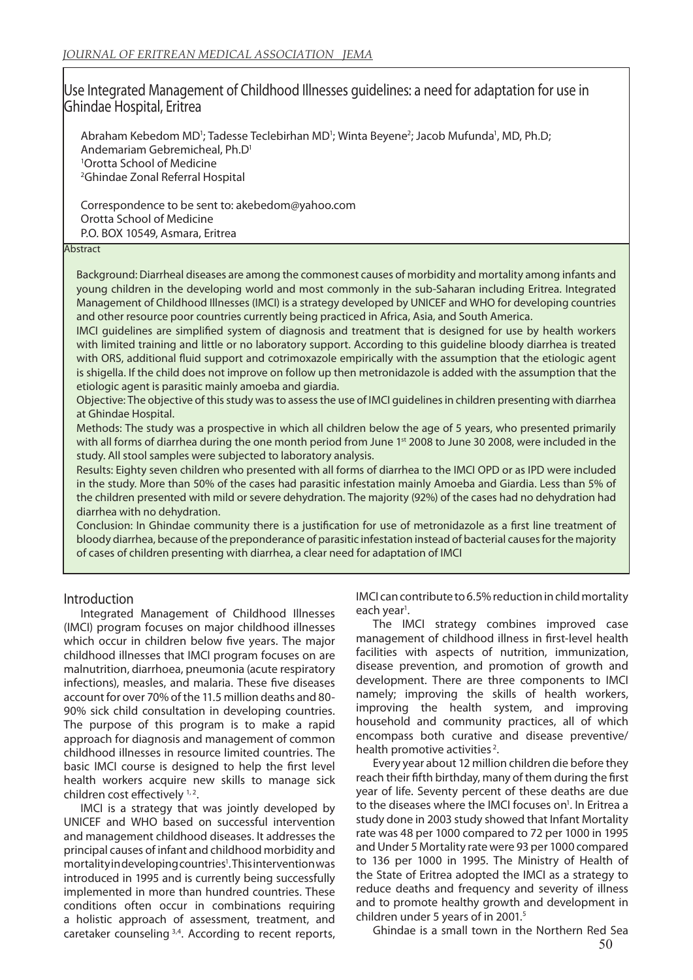# Use Integrated Management of Childhood Illnesses guidelines: a need for adaptation for use in Ghindae Hospital, Eritrea

Abraham Kebedom MD<sup>1</sup>; Tadesse Teclebirhan MD<sup>1</sup>; Winta Beyene<sup>2</sup>; Jacob Mufunda<sup>1</sup>, MD, Ph.D; Andemariam Gebremicheal, Ph.D1 1 Orotta School of Medicine 2 Ghindae Zonal Referral Hospital

Correspondence to be sent to: akebedom@yahoo.com Orotta School of Medicine P.O. BOX 10549, Asmara, Eritrea

#### **Abstract**

Background: Diarrheal diseases are among the commonest causes of morbidity and mortality among infants and young children in the developing world and most commonly in the sub-Saharan including Eritrea. Integrated Management of Childhood Illnesses (IMCI) is a strategy developed by UNICEF and WHO for developing countries and other resource poor countries currently being practiced in Africa, Asia, and South America.

IMCI guidelines are simplified system of diagnosis and treatment that is designed for use by health workers with limited training and little or no laboratory support. According to this guideline bloody diarrhea is treated with ORS, additional fluid support and cotrimoxazole empirically with the assumption that the etiologic agent is shigella. If the child does not improve on follow up then metronidazole is added with the assumption that the etiologic agent is parasitic mainly amoeba and giardia.

Objective: The objective of this study was to assess the use of IMCI guidelines in children presenting with diarrhea at Ghindae Hospital.

Methods: The study was a prospective in which all children below the age of 5 years, who presented primarily with all forms of diarrhea during the one month period from June 1st 2008 to June 30 2008, were included in the study. All stool samples were subjected to laboratory analysis.

Results: Eighty seven children who presented with all forms of diarrhea to the IMCI OPD or as IPD were included in the study. More than 50% of the cases had parasitic infestation mainly Amoeba and Giardia. Less than 5% of the children presented with mild or severe dehydration. The majority (92%) of the cases had no dehydration had diarrhea with no dehydration.

Conclusion: In Ghindae community there is a justification for use of metronidazole as a first line treatment of bloody diarrhea, because of the preponderance of parasitic infestation instead of bacterial causes for the majority of cases of children presenting with diarrhea, a clear need for adaptation of IMCI

## Introduction

Integrated Management of Childhood Illnesses (IMCI) program focuses on major childhood illnesses which occur in children below five years. The major childhood illnesses that IMCI program focuses on are malnutrition, diarrhoea, pneumonia (acute respiratory infections), measles, and malaria. These five diseases account for over 70% of the 11.5 million deaths and 80- 90% sick child consultation in developing countries. The purpose of this program is to make a rapid approach for diagnosis and management of common childhood illnesses in resource limited countries. The basic IMCI course is designed to help the first level health workers acquire new skills to manage sick children cost effectively  $1, 2$ .

IMCI is a strategy that was jointly developed by UNICEF and WHO based on successful intervention and management childhood diseases. It addresses the principal causes of infant and childhood morbidity and mortality in developing countries<sup>1</sup>. This intervention was introduced in 1995 and is currently being successfully implemented in more than hundred countries. These conditions often occur in combinations requiring a holistic approach of assessment, treatment, and caretaker counseling <sup>3,4</sup>. According to recent reports,

IMCI can contribute to 6.5% reduction in child mortality each year<sup>1</sup>.

The IMCI strategy combines improved case management of childhood illness in first-level health facilities with aspects of nutrition, immunization, disease prevention, and promotion of growth and development. There are three components to IMCI namely; improving the skills of health workers, improving the health system, and improving household and community practices, all of which encompass both curative and disease preventive/ health promotive activities<sup>2</sup>.

Every year about 12 million children die before they reach their fifth birthday, many of them during the first year of life. Seventy percent of these deaths are due to the diseases where the IMCI focuses on<sup>1</sup>. In Eritrea a study done in 2003 study showed that Infant Mortality rate was 48 per 1000 compared to 72 per 1000 in 1995 and Under 5 Mortality rate were 93 per 1000 compared to 136 per 1000 in 1995. The Ministry of Health of the State of Eritrea adopted the IMCI as a strategy to reduce deaths and frequency and severity of illness and to promote healthy growth and development in children under 5 years of in 2001.<sup>5</sup>

 50 Ghindae is a small town in the Northern Red Sea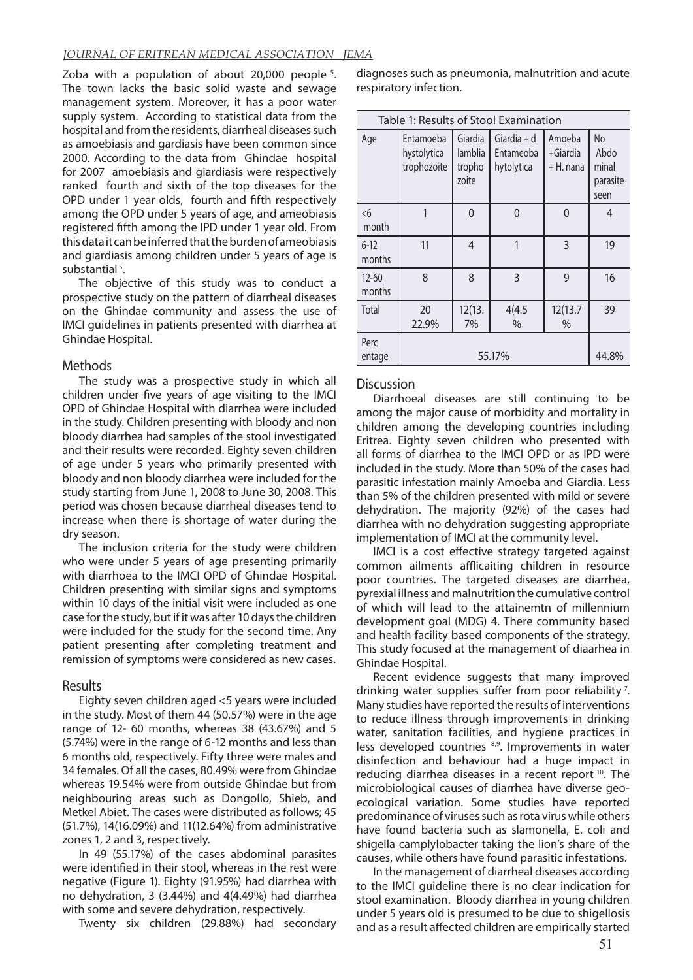#### *JOURNAL OF ERITREAN MEDICAL ASSOCIATION JEMA*

Zoba with a population of about 20,000 people<sup>5</sup>. The town lacks the basic solid waste and sewage management system. Moreover, it has a poor water supply system. According to statistical data from the hospital and from the residents, diarrheal diseases such as amoebiasis and gardiasis have been common since 2000. According to the data from Ghindae hospital for 2007 amoebiasis and giardiasis were respectively ranked fourth and sixth of the top diseases for the OPD under 1 year olds, fourth and fifth respectively among the OPD under 5 years of age, and ameobiasis registered fifth among the IPD under 1 year old. From this data it can be inferred that the burden of ameobiasis and giardiasis among children under 5 years of age is substantial<sup>5</sup>.

The objective of this study was to conduct a prospective study on the pattern of diarrheal diseases on the Ghindae community and assess the use of IMCI guidelines in patients presented with diarrhea at Ghindae Hospital.

## Methods

The study was a prospective study in which all children under five years of age visiting to the IMCI OPD of Ghindae Hospital with diarrhea were included in the study. Children presenting with bloody and non bloody diarrhea had samples of the stool investigated and their results were recorded. Eighty seven children of age under 5 years who primarily presented with bloody and non bloody diarrhea were included for the study starting from June 1, 2008 to June 30, 2008. This period was chosen because diarrheal diseases tend to increase when there is shortage of water during the dry season.

The inclusion criteria for the study were children who were under 5 years of age presenting primarily with diarrhoea to the IMCI OPD of Ghindae Hospital. Children presenting with similar signs and symptoms within 10 days of the initial visit were included as one case for the study, but if it was after 10 days the children were included for the study for the second time. Any patient presenting after completing treatment and remission of symptoms were considered as new cases.

## Results

Eighty seven children aged <5 years were included in the study. Most of them 44 (50.57%) were in the age range of 12- 60 months, whereas 38 (43.67%) and 5 (5.74%) were in the range of 6-12 months and less than 6 months old, respectively. Fifty three were males and 34 females. Of all the cases, 80.49% were from Ghindae whereas 19.54% were from outside Ghindae but from neighbouring areas such as Dongollo, Shieb, and Metkel Abiet. The cases were distributed as follows; 45 (51.7%), 14(16.09%) and 11(12.64%) from administrative zones 1, 2 and 3, respectively.

In 49 (55.17%) of the cases abdominal parasites were identified in their stool, whereas in the rest were negative (Figure 1). Eighty (91.95%) had diarrhea with no dehydration, 3 (3.44%) and 4(4.49%) had diarrhea with some and severe dehydration, respectively.

Twenty six children (29.88%) had secondary

diagnoses such as pneumonia, malnutrition and acute respiratory infection.

| Table 1: Results of Stool Examination |                                         |                                       |                                          |                                   |                                                |
|---------------------------------------|-----------------------------------------|---------------------------------------|------------------------------------------|-----------------------------------|------------------------------------------------|
| Age                                   | Entamoeba<br>hystolytica<br>trophozoite | Giardia<br>lamblia<br>tropho<br>zoite | Giardia + $d$<br>Entameoba<br>hytolytica | Amoeba<br>+Giardia<br>$+$ H. nana | <b>No</b><br>Abdo<br>minal<br>parasite<br>seen |
| <6<br>month                           | 1                                       | $\Omega$                              | $\Omega$                                 | $\mathbf{0}$                      | 4                                              |
| $6-12$<br>months                      | 11                                      | $\overline{4}$                        | 1                                        | 3                                 | 19                                             |
| $12 - 60$<br>months                   | 8                                       | 8                                     | 3                                        | 9                                 | 16                                             |
| Total                                 | 20<br>22.9%                             | 12(13.<br>7%                          | 4(4.5)<br>$\%$                           | 12(13.7<br>$\%$                   | 39                                             |
| Perc<br>entage                        | 55.17%                                  |                                       |                                          |                                   | 44.8%                                          |

## **Discussion**

Diarrhoeal diseases are still continuing to be among the major cause of morbidity and mortality in children among the developing countries including Eritrea. Eighty seven children who presented with all forms of diarrhea to the IMCI OPD or as IPD were included in the study. More than 50% of the cases had parasitic infestation mainly Amoeba and Giardia. Less than 5% of the children presented with mild or severe dehydration. The majority (92%) of the cases had diarrhea with no dehydration suggesting appropriate implementation of IMCI at the community level.

IMCI is a cost effective strategy targeted against common ailments afflicaiting children in resource poor countries. The targeted diseases are diarrhea, pyrexial illness and malnutrition the cumulative control of which will lead to the attainemtn of millennium development goal (MDG) 4. There community based and health facility based components of the strategy. This study focused at the management of diaarhea in Ghindae Hospital.

Recent evidence suggests that many improved drinking water supplies suffer from poor reliability 7. Many studies have reported the results of interventions to reduce illness through improvements in drinking water, sanitation facilities, and hygiene practices in less developed countries 8,9. Improvements in water disinfection and behaviour had a huge impact in reducing diarrhea diseases in a recent report 10. The microbiological causes of diarrhea have diverse geoecological variation. Some studies have reported predominance of viruses such as rota virus while others have found bacteria such as slamonella, E. coli and shigella camplylobacter taking the lion's share of the causes, while others have found parasitic infestations.

In the management of diarrheal diseases according to the IMCI guideline there is no clear indication for stool examination. Bloody diarrhea in young children under 5 years old is presumed to be due to shigellosis and as a result affected children are empirically started